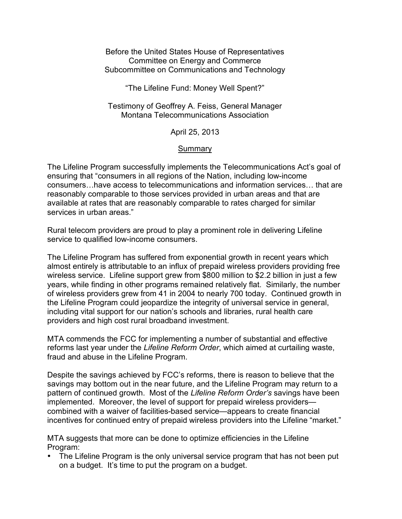Before the United States House of Representatives Committee on Energy and Commerce Subcommittee on Communications and Technology

"The Lifeline Fund: Money Well Spent?"

Testimony of Geoffrey A. Feiss, General Manager Montana Telecommunications Association

April 25, 2013

## Summary

The Lifeline Program successfully implements the Telecommunications Act's goal of ensuring that "consumers in all regions of the Nation, including low-income consumers…have access to telecommunications and information services… that are reasonably comparable to those services provided in urban areas and that are available at rates that are reasonably comparable to rates charged for similar services in urban areas."

Rural telecom providers are proud to play a prominent role in delivering Lifeline service to qualified low-income consumers.

The Lifeline Program has suffered from exponential growth in recent years which almost entirely is attributable to an influx of prepaid wireless providers providing free wireless service. Lifeline support grew from \$800 million to \$2.2 billion in just a few years, while finding in other programs remained relatively flat. Similarly, the number of wireless providers grew from 41 in 2004 to nearly 700 today. Continued growth in the Lifeline Program could jeopardize the integrity of universal service in general, including vital support for our nation's schools and libraries, rural health care providers and high cost rural broadband investment.

MTA commends the FCC for implementing a number of substantial and effective reforms last year under the *Lifeline Reform Order*, which aimed at curtailing waste, fraud and abuse in the Lifeline Program.

Despite the savings achieved by FCC's reforms, there is reason to believe that the savings may bottom out in the near future, and the Lifeline Program may return to a pattern of continued growth. Most of the *Lifeline Reform Order's* savings have been implemented. Moreover, the level of support for prepaid wireless providers combined with a waiver of facilities-based service—appears to create financial incentives for continued entry of prepaid wireless providers into the Lifeline "market."

MTA suggests that more can be done to optimize efficiencies in the Lifeline Program:

The Lifeline Program is the only universal service program that has not been put on a budget. It's time to put the program on a budget.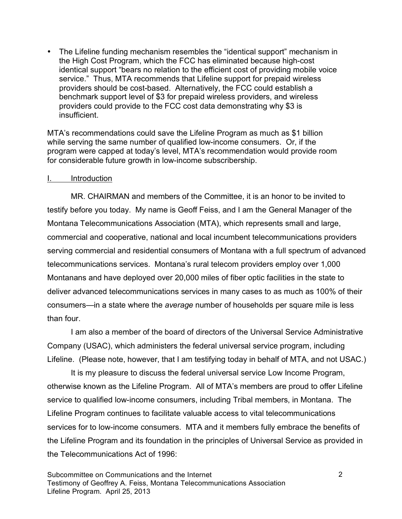• The Lifeline funding mechanism resembles the "identical support" mechanism in the High Cost Program, which the FCC has eliminated because high-cost identical support "bears no relation to the efficient cost of providing mobile voice service." Thus, MTA recommends that Lifeline support for prepaid wireless providers should be cost-based. Alternatively, the FCC could establish a benchmark support level of \$3 for prepaid wireless providers, and wireless providers could provide to the FCC cost data demonstrating why \$3 is insufficient.

MTA's recommendations could save the Lifeline Program as much as \$1 billion while serving the same number of qualified low-income consumers. Or, if the program were capped at today's level, MTA's recommendation would provide room for considerable future growth in low-income subscribership.

### I. Introduction

MR. CHAIRMAN and members of the Committee, it is an honor to be invited to testify before you today. My name is Geoff Feiss, and I am the General Manager of the Montana Telecommunications Association (MTA), which represents small and large, commercial and cooperative, national and local incumbent telecommunications providers serving commercial and residential consumers of Montana with a full spectrum of advanced telecommunications services. Montana's rural telecom providers employ over 1,000 Montanans and have deployed over 20,000 miles of fiber optic facilities in the state to deliver advanced telecommunications services in many cases to as much as 100% of their consumers—in a state where the *average* number of households per square mile is less than four.

I am also a member of the board of directors of the Universal Service Administrative Company (USAC), which administers the federal universal service program, including Lifeline. (Please note, however, that I am testifying today in behalf of MTA, and not USAC.)

It is my pleasure to discuss the federal universal service Low Income Program, otherwise known as the Lifeline Program. All of MTA's members are proud to offer Lifeline service to qualified low-income consumers, including Tribal members, in Montana. The Lifeline Program continues to facilitate valuable access to vital telecommunications services for to low-income consumers. MTA and it members fully embrace the benefits of the Lifeline Program and its foundation in the principles of Universal Service as provided in the Telecommunications Act of 1996: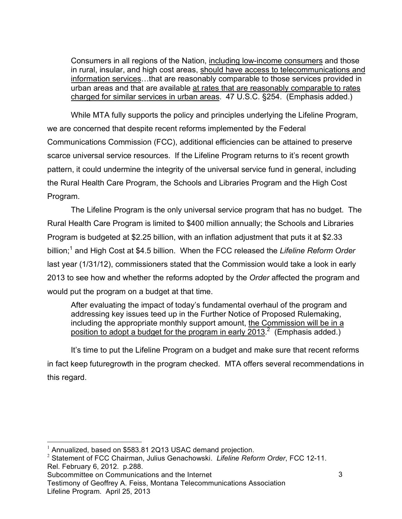Consumers in all regions of the Nation, including low-income consumers and those in rural, insular, and high cost areas, should have access to telecommunications and information services…that are reasonably comparable to those services provided in urban areas and that are available at rates that are reasonably comparable to rates charged for similar services in urban areas. 47 U.S.C. §254. (Emphasis added.)

While MTA fully supports the policy and principles underlying the Lifeline Program, we are concerned that despite recent reforms implemented by the Federal Communications Commission (FCC), additional efficiencies can be attained to preserve scarce universal service resources. If the Lifeline Program returns to it's recent growth pattern, it could undermine the integrity of the universal service fund in general, including the Rural Health Care Program, the Schools and Libraries Program and the High Cost Program.

The Lifeline Program is the only universal service program that has no budget. The Rural Health Care Program is limited to \$400 million annually; the Schools and Libraries Program is budgeted at \$2.25 billion, with an inflation adjustment that puts it at \$2.33 billion;<sup>1</sup> and High Cost at \$4.5 billion. When the FCC released the Lifeline Reform Order last year (1/31/12), commissioners stated that the Commission would take a look in early 2013 to see how and whether the reforms adopted by the *Order* affected the program and would put the program on a budget at that time.

After evaluating the impact of today's fundamental overhaul of the program and addressing key issues teed up in the Further Notice of Proposed Rulemaking, including the appropriate monthly support amount, the Commission will be in a position to adopt a budget for the program in early 2013.<sup>2</sup> (Emphasis added.)

It's time to put the Lifeline Program on a budget and make sure that recent reforms in fact keep futuregrowth in the program checked. MTA offers several recommendations in this regard.

Testimony of Geoffrey A. Feiss, Montana Telecommunications Association Lifeline Program. April 25, 2013

 $\frac{1}{1}$ Annualized, based on \$583.81 2Q13 USAC demand projection.

<sup>2</sup> Statement of FCC Chairman, Julius Genachowski. *Lifeline Reform Order*, FCC 12-11. Rel. February 6, 2012. p.288.

Subcommittee on Communications and the Internet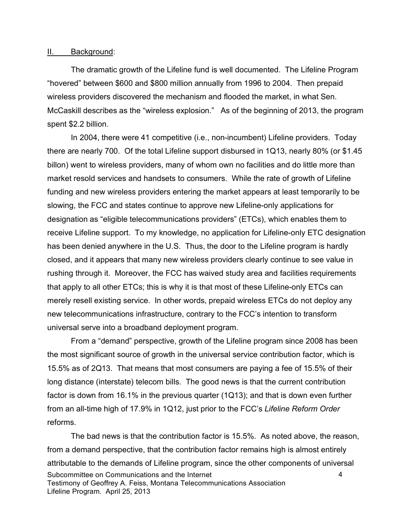#### II. Background:

The dramatic growth of the Lifeline fund is well documented. The Lifeline Program "hovered" between \$600 and \$800 million annually from 1996 to 2004. Then prepaid wireless providers discovered the mechanism and flooded the market, in what Sen. McCaskill describes as the "wireless explosion." As of the beginning of 2013, the program spent \$2.2 billion.

In 2004, there were 41 competitive (i.e., non-incumbent) Lifeline providers. Today there are nearly 700. Of the total Lifeline support disbursed in 1Q13, nearly 80% (or \$1.45 billon) went to wireless providers, many of whom own no facilities and do little more than market resold services and handsets to consumers. While the rate of growth of Lifeline funding and new wireless providers entering the market appears at least temporarily to be slowing, the FCC and states continue to approve new Lifeline-only applications for designation as "eligible telecommunications providers" (ETCs), which enables them to receive Lifeline support. To my knowledge, no application for Lifeline-only ETC designation has been denied anywhere in the U.S. Thus, the door to the Lifeline program is hardly closed, and it appears that many new wireless providers clearly continue to see value in rushing through it. Moreover, the FCC has waived study area and facilities requirements that apply to all other ETCs; this is why it is that most of these Lifeline-only ETCs can merely resell existing service. In other words, prepaid wireless ETCs do not deploy any new telecommunications infrastructure, contrary to the FCC's intention to transform universal serve into a broadband deployment program.

From a "demand" perspective, growth of the Lifeline program since 2008 has been the most significant source of growth in the universal service contribution factor, which is 15.5% as of 2Q13. That means that most consumers are paying a fee of 15.5% of their long distance (interstate) telecom bills. The good news is that the current contribution factor is down from 16.1% in the previous quarter (1Q13); and that is down even further from an all-time high of 17.9% in 1Q12, just prior to the FCC's *Lifeline Reform Order* reforms.

Subcommittee on Communications and the Internet Testimony of Geoffrey A. Feiss, Montana Telecommunications Association Lifeline Program. April 25, 2013 4 The bad news is that the contribution factor is 15.5%. As noted above, the reason, from a demand perspective, that the contribution factor remains high is almost entirely attributable to the demands of Lifeline program, since the other components of universal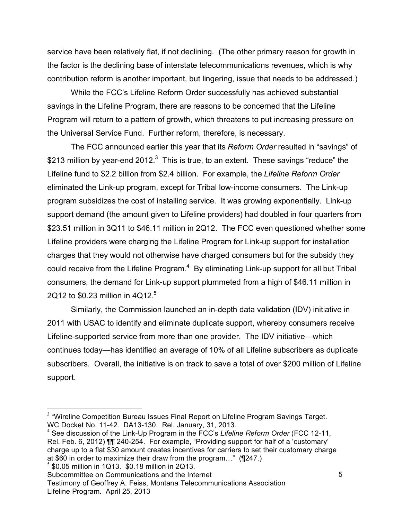service have been relatively flat, if not declining. (The other primary reason for growth in the factor is the declining base of interstate telecommunications revenues, which is why contribution reform is another important, but lingering, issue that needs to be addressed.)

While the FCC's Lifeline Reform Order successfully has achieved substantial savings in the Lifeline Program, there are reasons to be concerned that the Lifeline Program will return to a pattern of growth, which threatens to put increasing pressure on the Universal Service Fund. Further reform, therefore, is necessary.

The FCC announced earlier this year that its *Reform Order* resulted in "savings" of \$213 million by year-end 2012.<sup>3</sup> This is true, to an extent. These savings "reduce" the Lifeline fund to \$2.2 billion from \$2.4 billion. For example, the *Lifeline Reform Order* eliminated the Link-up program, except for Tribal low-income consumers. The Link-up program subsidizes the cost of installing service. It was growing exponentially. Link-up support demand (the amount given to Lifeline providers) had doubled in four quarters from \$23.51 million in 3Q11 to \$46.11 million in 2Q12. The FCC even questioned whether some Lifeline providers were charging the Lifeline Program for Link-up support for installation charges that they would not otherwise have charged consumers but for the subsidy they could receive from the Lifeline Program. $4$  By eliminating Link-up support for all but Tribal consumers, the demand for Link-up support plummeted from a high of \$46.11 million in 2Q12 to \$0.23 million in  $4Q12<sup>5</sup>$ 

Similarly, the Commission launched an in-depth data validation (IDV) initiative in 2011 with USAC to identify and eliminate duplicate support, whereby consumers receive Lifeline-supported service from more than one provider. The IDV initiative—which continues today—has identified an average of 10% of all Lifeline subscribers as duplicate subscribers. Overall, the initiative is on track to save a total of over \$200 million of Lifeline support.

<sup>&</sup>lt;sup>2</sup><br>3  $3$  "Wireline Competition Bureau Issues Final Report on Lifeline Program Savings Target. WC Docket No. 11-42. DA13-130. Rel. January, 31, 2013.

<sup>4</sup> See discussion of the Link-Up Program in the FCC's *Lifeline Reform Order* (FCC 12-11, Rel. Feb. 6, 2012) ¶¶ 240-254. For example, "Providing support for half of a 'customary' charge up to a flat \$30 amount creates incentives for carriers to set their customary charge at \$60 in order to maximize their draw from the program…" (¶247.)

 $5$  \$0.05 million in 1Q13. \$0.18 million in 2Q13.

Subcommittee on Communications and the Internet

Testimony of Geoffrey A. Feiss, Montana Telecommunications Association Lifeline Program. April 25, 2013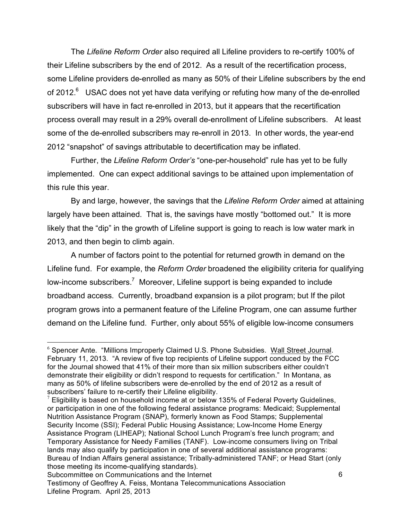The *Lifeline Reform Order* also required all Lifeline providers to re-certify 100% of their Lifeline subscribers by the end of 2012. As a result of the recertification process, some Lifeline providers de-enrolled as many as 50% of their Lifeline subscribers by the end of 2012.<sup>6</sup> USAC does not yet have data verifying or refuting how many of the de-enrolled subscribers will have in fact re-enrolled in 2013, but it appears that the recertification process overall may result in a 29% overall de-enrollment of Lifeline subscribers. At least some of the de-enrolled subscribers may re-enroll in 2013. In other words, the year-end 2012 "snapshot" of savings attributable to decertification may be inflated.

Further, the *Lifeline Reform Order's* "one-per-household" rule has yet to be fully implemented. One can expect additional savings to be attained upon implementation of this rule this year.

By and large, however, the savings that the *Lifeline Reform Order* aimed at attaining largely have been attained. That is, the savings have mostly "bottomed out." It is more likely that the "dip" in the growth of Lifeline support is going to reach is low water mark in 2013, and then begin to climb again.

A number of factors point to the potential for returned growth in demand on the Lifeline fund. For example, the *Reform Order* broadened the eligibility criteria for qualifying low-income subscribers.<sup>7</sup> Moreover, Lifeline support is being expanded to include broadband access. Currently, broadband expansion is a pilot program; but If the pilot program grows into a permanent feature of the Lifeline Program, one can assume further demand on the Lifeline fund. Further, only about 55% of eligible low-income consumers

 <sup>6</sup>  $6$  Spencer Ante. "Millions Improperly Claimed U.S. Phone Subsidies. Wall Street Journal. February 11, 2013. "A review of five top recipients of Lifeline support conduced by the FCC for the Journal showed that 41% of their more than six million subscribers either couldn't demonstrate their eligibility or didn't respond to requests for certification." In Montana, as many as 50% of lifeline subscribers were de-enrolled by the end of 2012 as a result of subscribers' failure to re-certify their Lifeline eligibility.

 $7$  Eligibility is based on household income at or below 135% of Federal Poverty Guidelines, or participation in one of the following federal assistance programs: Medicaid; Supplemental Nutrition Assistance Program (SNAP), formerly known as Food Stamps; Supplemental Security Income (SSI); Federal Public Housing Assistance; Low-Income Home Energy Assistance Program (LIHEAP); National School Lunch Program's free lunch program; and Temporary Assistance for Needy Families (TANF). Low-income consumers living on Tribal lands may also qualify by participation in one of several additional assistance programs: Bureau of Indian Affairs general assistance; Tribally-administered TANF; or Head Start (only those meeting its income-qualifying standards).

Subcommittee on Communications and the Internet Testimony of Geoffrey A. Feiss, Montana Telecommunications Association Lifeline Program. April 25, 2013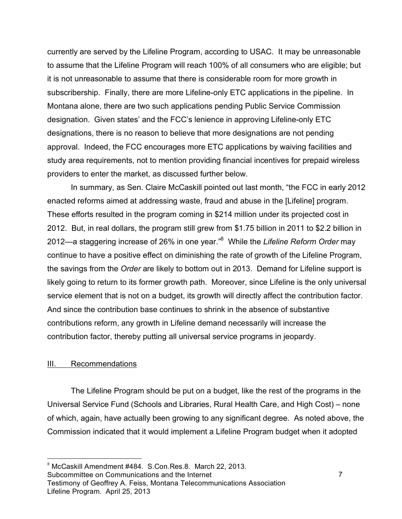currently are served by the Lifeline Program, according to USAC. It may be unreasonable to assume that the Lifeline Program will reach 100% of all consumers who are eligible; but it is not unreasonable to assume that there is considerable room for more growth in subscribership. Finally, there are more Lifeline-only ETC applications in the pipeline. In Montana alone, there are two such applications pending Public Service Commission designation. Given states' and the FCC's lenience in approving Lifeline-only ETC designations, there is no reason to believe that more designations are not pending approval. Indeed, the FCC encourages more ETC applications by waiving facilities and study area requirements, not to mention providing financial incentives for prepaid wireless providers to enter the market, as discussed further below.

In summary, as Sen. Claire McCaskill pointed out last month, "the FCC in early 2012 enacted reforms aimed at addressing waste, fraud and abuse in the [Lifeline] program. These efforts resulted in the program coming in \$214 million under its projected cost in 2012. But, in real dollars, the program still grew from \$1.75 billion in 2011 to \$2.2 billion in 2012—a staggering increase of 26% in one year."8 While the *Lifeline Reform Order* may continue to have a positive effect on diminishing the rate of growth of the Lifeline Program, the savings from the *Order* are likely to bottom out in 2013. Demand for Lifeline support is likely going to return to its former growth path. Moreover, since Lifeline is the only universal service element that is not on a budget, its growth will directly affect the contribution factor. And since the contribution base continues to shrink in the absence of substantive contributions reform, any growth in Lifeline demand necessarily will increase the contribution factor, thereby putting all universal service programs in jeopardy.

### III. Recommendations

The Lifeline Program should be put on a budget, like the rest of the programs in the Universal Service Fund (Schools and Libraries, Rural Health Care, and High Cost) – none of which, again, have actually been growing to any significant degree. As noted above, the Commission indicated that it would implement a Lifeline Program budget when it adopted

Subcommittee on Communications and the Internet

 <sup>8</sup>  $8$  McCaskill Amendment  $#484.$  S.Con. Res. 8. March 22, 2013.

Testimony of Geoffrey A. Feiss, Montana Telecommunications Association Lifeline Program. April 25, 2013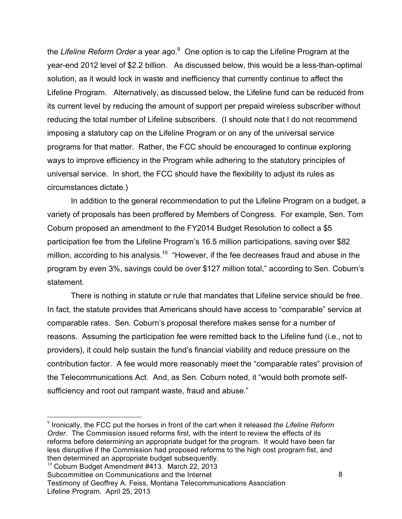the *Lifeline Reform Order* a year ago.<sup>9</sup> One option is to cap the Lifeline Program at the year-end 2012 level of \$2.2 billion. As discussed below, this would be a less-than-optimal solution, as it would lock in waste and inefficiency that currently continue to affect the Lifeline Program. Alternatively, as discussed below, the Lifeline fund can be reduced from its current level by reducing the amount of support per prepaid wireless subscriber without reducing the total number of Lifeline subscribers. (I should note that I do not recommend imposing a statutory cap on the Lifeline Program or on any of the universal service programs for that matter. Rather, the FCC should be encouraged to continue exploring ways to improve efficiency in the Program while adhering to the statutory principles of universal service. In short, the FCC should have the flexibility to adjust its rules as circumstances dictate.)

In addition to the general recommendation to put the Lifeline Program on a budget, a variety of proposals has been proffered by Members of Congress. For example, Sen. Tom Coburn proposed an amendment to the FY2014 Budget Resolution to collect a \$5 participation fee from the Lifeline Program's 16.5 million participations, saving over \$82 million, according to his analysis.<sup>10</sup> "However, if the fee decreases fraud and abuse in the program by even 3%, savings could be over \$127 million total," according to Sen. Coburn's statement.

There is nothing in statute or rule that mandates that Lifeline service should be free. In fact, the statute provides that Americans should have access to "comparable" service at comparable rates. Sen. Coburn's proposal therefore makes sense for a number of reasons. Assuming the participation fee were remitted back to the Lifeline fund (i.e., not to providers), it could help sustain the fund's financial viability and reduce pressure on the contribution factor. A fee would more reasonably meet the "comparable rates" provision of the Telecommunications Act. And, as Sen. Coburn noted, it "would both promote selfsufficiency and root out rampant waste, fraud and abuse."

 $10$  Coburn Budget Amendment #413. March 22, 2013

<sup>-&</sup>lt;br>9 <sup>9</sup> Ironically, the FCC put the horses in front of the cart when it released the Lifeline Reform *Order*. The Commission issued reforms first, with the intent to review the effects of its reforms before determining an appropriate budget for the program. It would have been far less disruptive if the Commission had proposed reforms to the high cost program fist, and then determined an appropriate budget subsequently.

Subcommittee on Communications and the Internet

Testimony of Geoffrey A. Feiss, Montana Telecommunications Association Lifeline Program. April 25, 2013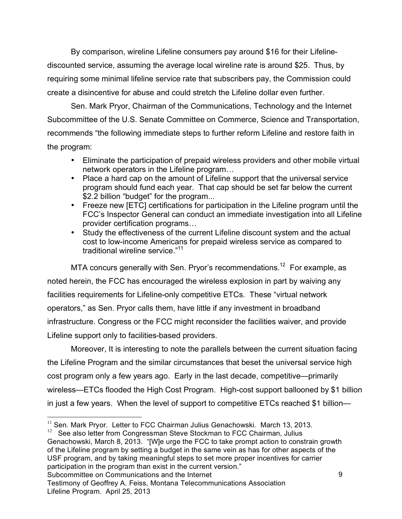By comparison, wireline Lifeline consumers pay around \$16 for their Lifelinediscounted service, assuming the average local wireline rate is around \$25. Thus, by requiring some minimal lifeline service rate that subscribers pay, the Commission could create a disincentive for abuse and could stretch the Lifeline dollar even further.

Sen. Mark Pryor, Chairman of the Communications, Technology and the Internet Subcommittee of the U.S. Senate Committee on Commerce, Science and Transportation, recommends "the following immediate steps to further reform Lifeline and restore faith in the program:

- Eliminate the participation of prepaid wireless providers and other mobile virtual network operators in the Lifeline program…
- Place a hard cap on the amount of Lifeline support that the universal service program should fund each year. That cap should be set far below the current \$2.2 billion "budget" for the program...
- Freeze new [ETC] certifications for participation in the Lifeline program until the FCC's Inspector General can conduct an immediate investigation into all Lifeline provider certification programs…
- Study the effectiveness of the current Lifeline discount system and the actual cost to low-income Americans for prepaid wireless service as compared to traditional wireline service."11

MTA concurs generally with Sen. Pryor's recommendations.<sup>12</sup> For example, as noted herein, the FCC has encouraged the wireless explosion in part by waiving any facilities requirements for Lifeline-only competitive ETCs. These "virtual network operators," as Sen. Pryor calls them, have little if any investment in broadband infrastructure. Congress or the FCC might reconsider the facilities waiver, and provide Lifeline support only to facilities-based providers.

Moreover, It is interesting to note the parallels between the current situation facing the Lifeline Program and the similar circumstances that beset the universal service high cost program only a few years ago. Early in the last decade, competitive—primarily wireless—ETCs flooded the High Cost Program. High-cost support ballooned by \$1 billion in just a few years. When the level of support to competitive ETCs reached \$1 billion—

 $11$  Sen. Mark Pryor. Letter to FCC Chairman Julius Genachowski. March 13, 2013.

Subcommittee on Communications and the Internet See also letter from Congressman Steve Stockman to FCC Chairman, Julius Genachowski, March 8, 2013. "[W]e urge the FCC to take prompt action to constrain growth of the Lifeline program by setting a budget in the same vein as has for other aspects of the USF program, and by taking meaningful steps to set more proper incentives for carrier participation in the program than exist in the current version."

Testimony of Geoffrey A. Feiss, Montana Telecommunications Association Lifeline Program. April 25, 2013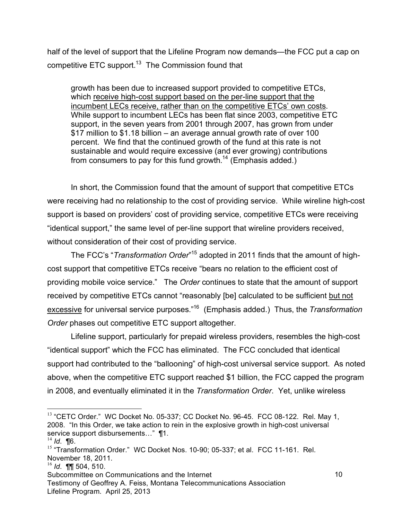half of the level of support that the Lifeline Program now demands—the FCC put a cap on competitive ETC support.<sup>13</sup> The Commission found that

growth has been due to increased support provided to competitive ETCs, which receive high-cost support based on the per-line support that the incumbent LECs receive, rather than on the competitive ETCs' own costs. While support to incumbent LECs has been flat since 2003, competitive ETC support, in the seven years from 2001 through 2007, has grown from under \$17 million to \$1.18 billion – an average annual growth rate of over 100 percent. We find that the continued growth of the fund at this rate is not sustainable and would require excessive (and ever growing) contributions from consumers to pay for this fund growth.<sup>14</sup> (Emphasis added.)

In short, the Commission found that the amount of support that competitive ETCs were receiving had no relationship to the cost of providing service. While wireline high-cost support is based on providers' cost of providing service, competitive ETCs were receiving "identical support," the same level of per-line support that wireline providers received, without consideration of their cost of providing service.

The FCC's "*Transformation Order*" 15 adopted in 2011 finds that the amount of highcost support that competitive ETCs receive "bears no relation to the efficient cost of providing mobile voice service." The *Order* continues to state that the amount of support received by competitive ETCs cannot "reasonably [be] calculated to be sufficient but not excessive for universal service purposes."16 (Emphasis added.) Thus, the *Transformation Order* phases out competitive ETC support altogether.

Lifeline support, particularly for prepaid wireless providers, resembles the high-cost "identical support" which the FCC has eliminated. The FCC concluded that identical support had contributed to the "ballooning" of high-cost universal service support. As noted above, when the competitive ETC support reached \$1 billion, the FCC capped the program in 2008, and eventually eliminated it in the *Transformation Order*. Yet, unlike wireless

 $13$  "CETC Order." WC Docket No. 05-337; CC Docket No. 96-45. FCC 08-122. Rel. May 1, 2008. "In this Order, we take action to rein in the explosive growth in high-cost universal service support disbursements..."  $\P$ 1.

<sup>14</sup> *Id*. ¶6.

<sup>&</sup>lt;sup>15</sup> "Transformation Order." WC Docket Nos. 10-90; 05-337; et al. FCC 11-161. Rel. November 18, 2011.

<sup>16</sup> *Id*. ¶¶ 504, 510.

Subcommittee on Communications and the Internet

Testimony of Geoffrey A. Feiss, Montana Telecommunications Association Lifeline Program. April 25, 2013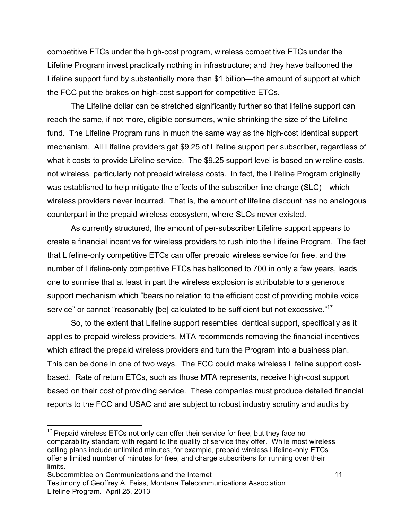competitive ETCs under the high-cost program, wireless competitive ETCs under the Lifeline Program invest practically nothing in infrastructure; and they have ballooned the Lifeline support fund by substantially more than \$1 billion—the amount of support at which the FCC put the brakes on high-cost support for competitive ETCs.

The Lifeline dollar can be stretched significantly further so that lifeline support can reach the same, if not more, eligible consumers, while shrinking the size of the Lifeline fund. The Lifeline Program runs in much the same way as the high-cost identical support mechanism. All Lifeline providers get \$9.25 of Lifeline support per subscriber, regardless of what it costs to provide Lifeline service. The \$9.25 support level is based on wireline costs, not wireless, particularly not prepaid wireless costs. In fact, the Lifeline Program originally was established to help mitigate the effects of the subscriber line charge (SLC)—which wireless providers never incurred. That is, the amount of lifeline discount has no analogous counterpart in the prepaid wireless ecosystem, where SLCs never existed.

As currently structured, the amount of per-subscriber Lifeline support appears to create a financial incentive for wireless providers to rush into the Lifeline Program. The fact that Lifeline-only competitive ETCs can offer prepaid wireless service for free, and the number of Lifeline-only competitive ETCs has ballooned to 700 in only a few years, leads one to surmise that at least in part the wireless explosion is attributable to a generous support mechanism which "bears no relation to the efficient cost of providing mobile voice service" or cannot "reasonably [be] calculated to be sufficient but not excessive."<sup>17</sup>

So, to the extent that Lifeline support resembles identical support, specifically as it applies to prepaid wireless providers, MTA recommends removing the financial incentives which attract the prepaid wireless providers and turn the Program into a business plan. This can be done in one of two ways. The FCC could make wireless Lifeline support costbased. Rate of return ETCs, such as those MTA represents, receive high-cost support based on their cost of providing service. These companies must produce detailed financial reports to the FCC and USAC and are subject to robust industry scrutiny and audits by

 $17$  Prepaid wireless ETCs not only can offer their service for free, but they face no comparability standard with regard to the quality of service they offer. While most wireless calling plans include unlimited minutes, for example, prepaid wireless Lifeline-only ETCs offer a limited number of minutes for free, and charge subscribers for running over their limits.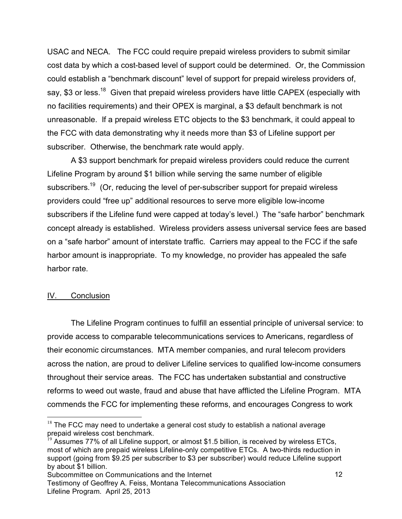USAC and NECA. The FCC could require prepaid wireless providers to submit similar cost data by which a cost-based level of support could be determined. Or, the Commission could establish a "benchmark discount" level of support for prepaid wireless providers of, say, \$3 or less.<sup>18</sup> Given that prepaid wireless providers have little CAPEX (especially with no facilities requirements) and their OPEX is marginal, a \$3 default benchmark is not unreasonable. If a prepaid wireless ETC objects to the \$3 benchmark, it could appeal to the FCC with data demonstrating why it needs more than \$3 of Lifeline support per subscriber. Otherwise, the benchmark rate would apply.

A \$3 support benchmark for prepaid wireless providers could reduce the current Lifeline Program by around \$1 billion while serving the same number of eligible subscribers.<sup>19</sup> (Or, reducing the level of per-subscriber support for prepaid wireless providers could "free up" additional resources to serve more eligible low-income subscribers if the Lifeline fund were capped at today's level.) The "safe harbor" benchmark concept already is established. Wireless providers assess universal service fees are based on a "safe harbor" amount of interstate traffic. Carriers may appeal to the FCC if the safe harbor amount is inappropriate. To my knowledge, no provider has appealed the safe harbor rate.

# IV. Conclusion

The Lifeline Program continues to fulfill an essential principle of universal service: to provide access to comparable telecommunications services to Americans, regardless of their economic circumstances. MTA member companies, and rural telecom providers across the nation, are proud to deliver Lifeline services to qualified low-income consumers throughout their service areas. The FCC has undertaken substantial and constructive reforms to weed out waste, fraud and abuse that have afflicted the Lifeline Program. MTA commends the FCC for implementing these reforms, and encourages Congress to work

 $18$  The FCC may need to undertake a general cost study to establish a national average prepaid wireless cost benchmark.

 $19$  Assumes 77% of all Lifeline support, or almost \$1.5 billion, is received by wireless ETCs, most of which are prepaid wireless Lifeline-only competitive ETCs. A two-thirds reduction in support (going from \$9.25 per subscriber to \$3 per subscriber) would reduce Lifeline support by about \$1 billion.